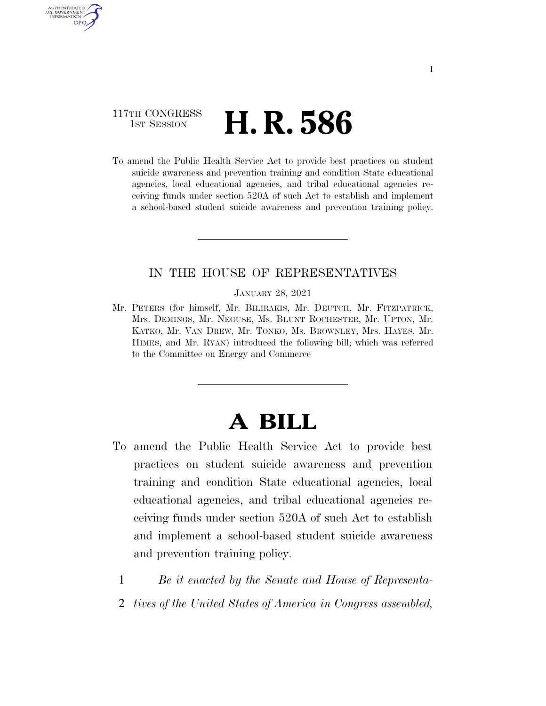### 117TH CONGRESS **1st Session H. R. 586**

U.S. GOVERNMENT GPO

> To amend the Public Health Service Act to provide best practices on student suicide awareness and prevention training and condition State educational agencies, local educational agencies, and tribal educational agencies receiving funds under section 520A of such Act to establish and implement a school-based student suicide awareness and prevention training policy.

#### IN THE HOUSE OF REPRESENTATIVES

JANUARY 28, 2021

Mr. PETERS (for himself, Mr. BILIRAKIS, Mr. DEUTCH, Mr. FITZPATRICK, Mrs. DEMINGS, Mr. NEGUSE, Ms. BLUNT ROCHESTER, Mr. UPTON, Mr. KATKO, Mr. VAN DREW, Mr. TONKO, Ms. BROWNLEY, Mrs. HAYES, Mr. HIMES, and Mr. RYAN) introduced the following bill; which was referred to the Committee on Energy and Commerce

# **A BILL**

- To amend the Public Health Service Act to provide best practices on student suicide awareness and prevention training and condition State educational agencies, local educational agencies, and tribal educational agencies receiving funds under section 520A of such Act to establish and implement a school-based student suicide awareness and prevention training policy.
	- 1 *Be it enacted by the Senate and House of Representa-*
	- 2 *tives of the United States of America in Congress assembled,*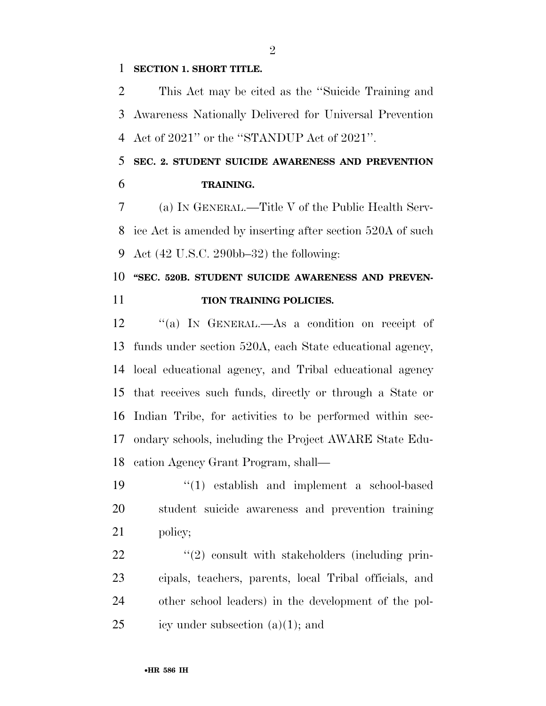#### **SECTION 1. SHORT TITLE.**

 This Act may be cited as the ''Suicide Training and Awareness Nationally Delivered for Universal Prevention Act of 2021'' or the ''STANDUP Act of 2021''.

### **SEC. 2. STUDENT SUICIDE AWARENESS AND PREVENTION TRAINING.**

 (a) IN GENERAL.—Title V of the Public Health Serv- ice Act is amended by inserting after section 520A of such Act (42 U.S.C. 290bb–32) the following:

## **''SEC. 520B. STUDENT SUICIDE AWARENESS AND PREVEN-TION TRAINING POLICIES.**

 ''(a) IN GENERAL.—As a condition on receipt of funds under section 520A, each State educational agency, local educational agency, and Tribal educational agency that receives such funds, directly or through a State or Indian Tribe, for activities to be performed within sec- ondary schools, including the Project AWARE State Edu-cation Agency Grant Program, shall—

 ''(1) establish and implement a school-based student suicide awareness and prevention training policy;

 $\frac{1}{2}$   $\frac{1}{2}$  consult with stakeholders (including prin- cipals, teachers, parents, local Tribal officials, and other school leaders) in the development of the pol-25 icy under subsection  $(a)(1)$ ; and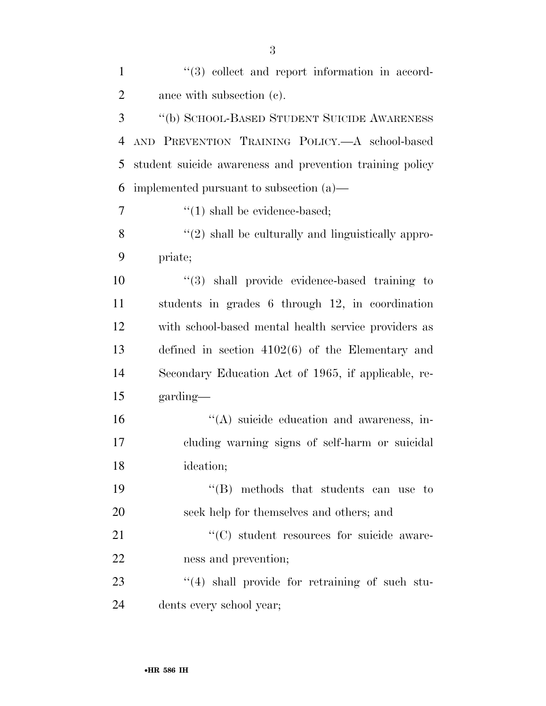| $\mathbf{1}$   | $(3)$ collect and report information in accord-          |
|----------------|----------------------------------------------------------|
| $\overline{2}$ | ance with subsection (c).                                |
| 3              | "(b) SCHOOL-BASED STUDENT SUICIDE AWARENESS              |
| $\overline{4}$ | AND PREVENTION TRAINING POLICY. A school-based           |
| 5              | student suicide awareness and prevention training policy |
| 6              | implemented pursuant to subsection $(a)$ —               |
| $\overline{7}$ | $\lq(1)$ shall be evidence-based;                        |
| 8              | $\lq(2)$ shall be culturally and linguistically appro-   |
| 9              | priate;                                                  |
| 10             | $"$ (3) shall provide evidence-based training to         |
| 11             | students in grades 6 through 12, in coordination         |
| 12             | with school-based mental health service providers as     |
| 13             | defined in section $4102(6)$ of the Elementary and       |
| 14             | Secondary Education Act of 1965, if applicable, re-      |
| 15             | garding—                                                 |
| 16             | $\lq\lq$ suicide education and awareness, in-            |
| 17             | cluding warning signs of self-harm or suicidal           |
| 18             | ideation;                                                |
| 19             | "(B) methods that students can use to                    |
| 20             | seek help for themselves and others; and                 |
| 21             | "(C) student resources for suicide aware-                |
| 22             | ness and prevention;                                     |
| 23             | "(4) shall provide for retraining of such stu-           |
| 24             | dents every school year;                                 |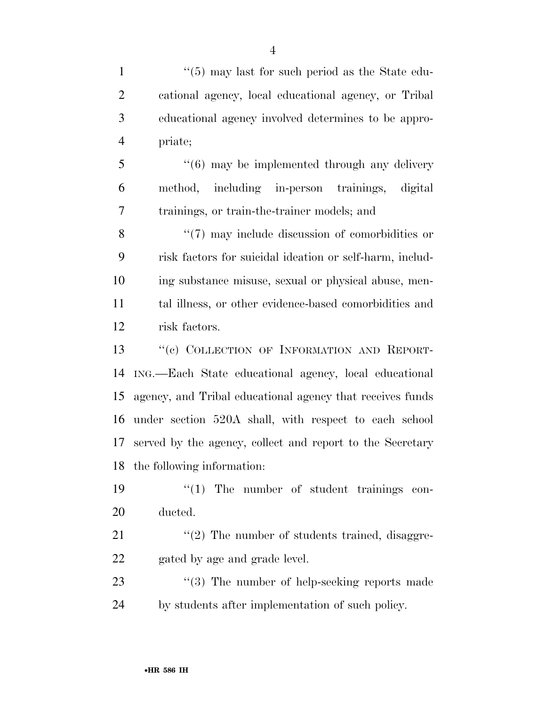1 ''(5) may last for such period as the State edu- cational agency, local educational agency, or Tribal educational agency involved determines to be appro-priate;

5 "(6) may be implemented through any delivery method, including in-person trainings, digital trainings, or train-the-trainer models; and

8 "(7) may include discussion of comorbidities or risk factors for suicidal ideation or self-harm, includ- ing substance misuse, sexual or physical abuse, men- tal illness, or other evidence-based comorbidities and risk factors.

13 "(c) COLLECTION OF INFORMATION AND REPORT- ING.—Each State educational agency, local educational agency, and Tribal educational agency that receives funds under section 520A shall, with respect to each school served by the agency, collect and report to the Secretary the following information:

19  $\frac{1}{2}$  The number of student trainings con-ducted.

 ''(2) The number of students trained, disaggre-gated by age and grade level.

23 "(3) The number of help-seeking reports made by students after implementation of such policy.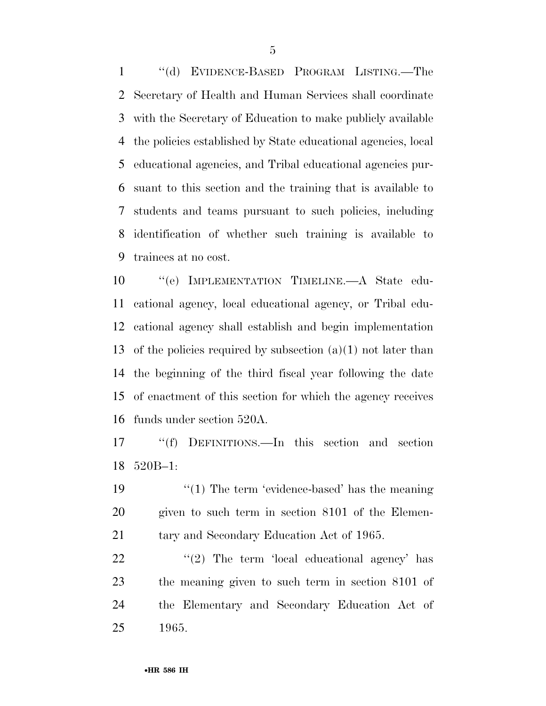''(d) EVIDENCE-BASED PROGRAM LISTING.—The Secretary of Health and Human Services shall coordinate with the Secretary of Education to make publicly available the policies established by State educational agencies, local educational agencies, and Tribal educational agencies pur- suant to this section and the training that is available to students and teams pursuant to such policies, including identification of whether such training is available to trainees at no cost.

 ''(e) IMPLEMENTATION TIMELINE.—A State edu- cational agency, local educational agency, or Tribal edu- cational agency shall establish and begin implementation 13 of the policies required by subsection  $(a)(1)$  not later than the beginning of the third fiscal year following the date of enactment of this section for which the agency receives funds under section 520A.

 ''(f) DEFINITIONS.—In this section and section 520B–1:

19 ''(1) The term 'evidence-based' has the meaning given to such term in section 8101 of the Elemen-21 tary and Secondary Education Act of 1965.

  $\qquad$   $\qquad$   $\qquad$   $\qquad$   $\qquad$   $\qquad$   $\qquad$   $\qquad$   $\qquad$   $\qquad$   $\qquad$   $\qquad$   $\qquad$   $\qquad$   $\qquad$   $\qquad$   $\qquad$   $\qquad$   $\qquad$   $\qquad$   $\qquad$   $\qquad$   $\qquad$   $\qquad$   $\qquad$   $\qquad$   $\qquad$   $\qquad$   $\qquad$   $\qquad$   $\qquad$   $\qquad$   $\qquad$   $\qquad$   $\qquad$   $\qquad$  the meaning given to such term in section 8101 of the Elementary and Secondary Education Act of 1965.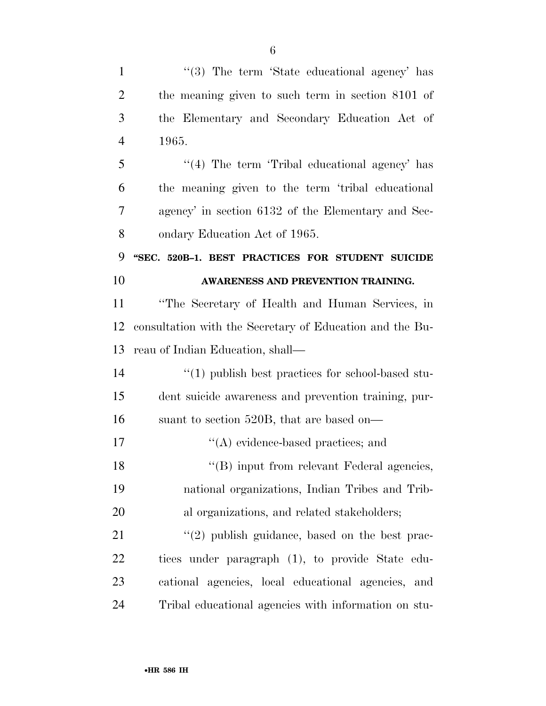| $\mathbf{1}$   | "(3) The term 'State educational agency' has             |
|----------------|----------------------------------------------------------|
| $\overline{2}$ | the meaning given to such term in section 8101 of        |
| 3              | the Elementary and Secondary Education Act of            |
| $\overline{4}$ | 1965.                                                    |
| 5              | "(4) The term 'Tribal educational agency' has            |
| 6              | the meaning given to the term 'tribal educational        |
| 7              | agency' in section 6132 of the Elementary and Sec-       |
| 8              | ondary Education Act of 1965.                            |
| 9              | "SEC. 520B-1. BEST PRACTICES FOR STUDENT SUICIDE         |
| 10             | AWARENESS AND PREVENTION TRAINING.                       |
| 11             | "The Secretary of Health and Human Services, in          |
| 12             | consultation with the Secretary of Education and the Bu- |
| 13             | reau of Indian Education, shall—                         |
| 14             | $\lq(1)$ publish best practices for school-based stu-    |
| 15             | dent suicide awareness and prevention training, pur-     |
| 16             | suant to section 520B, that are based on—                |
| 17             | $\lq\lq$ evidence-based practices; and                   |
| 18             | "(B) input from relevant Federal agencies,               |
| 19             | national organizations, Indian Tribes and Trib-          |
| 20             | al organizations, and related stakeholders;              |
| 21             | $\lq(2)$ publish guidance, based on the best prac-       |
| 22             | tices under paragraph (1), to provide State edu-         |
| 23             | cational agencies, local educational agencies, and       |
| 24             | Tribal educational agencies with information on stu-     |